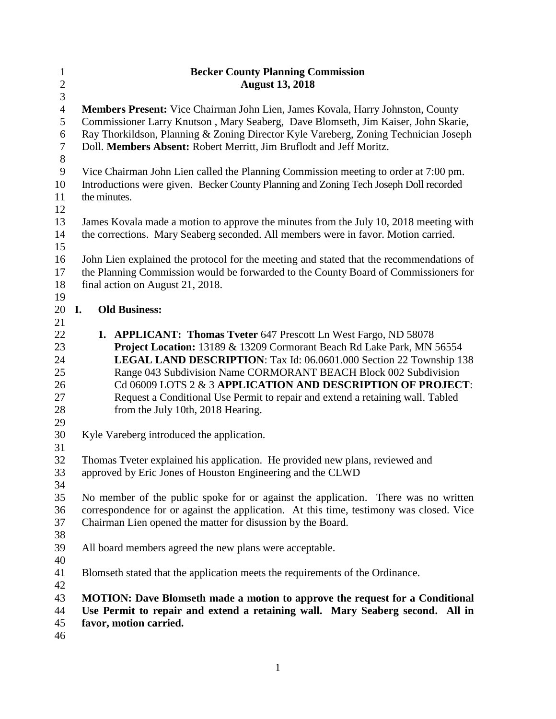| $\mathbf{1}$     | <b>Becker County Planning Commission</b>                                                |  |  |
|------------------|-----------------------------------------------------------------------------------------|--|--|
| $\boldsymbol{2}$ | <b>August 13, 2018</b>                                                                  |  |  |
| $\mathfrak{Z}$   |                                                                                         |  |  |
| $\overline{4}$   | Members Present: Vice Chairman John Lien, James Kovala, Harry Johnston, County          |  |  |
| 5                | Commissioner Larry Knutson, Mary Seaberg, Dave Blomseth, Jim Kaiser, John Skarie,       |  |  |
| $\boldsymbol{6}$ | Ray Thorkildson, Planning & Zoning Director Kyle Vareberg, Zoning Technician Joseph     |  |  |
| $\overline{7}$   | Doll. Members Absent: Robert Merritt, Jim Bruflodt and Jeff Moritz.                     |  |  |
| $8\,$            |                                                                                         |  |  |
| $\boldsymbol{9}$ | Vice Chairman John Lien called the Planning Commission meeting to order at 7:00 pm.     |  |  |
| 10               | Introductions were given. Becker County Planning and Zoning Tech Joseph Doll recorded   |  |  |
| 11               | the minutes.                                                                            |  |  |
| 12               |                                                                                         |  |  |
| 13               | James Kovala made a motion to approve the minutes from the July 10, 2018 meeting with   |  |  |
| 14               | the corrections. Mary Seaberg seconded. All members were in favor. Motion carried.      |  |  |
| 15               |                                                                                         |  |  |
| 16               | John Lien explained the protocol for the meeting and stated that the recommendations of |  |  |
| 17               | the Planning Commission would be forwarded to the County Board of Commissioners for     |  |  |
| 18               | final action on August 21, 2018.                                                        |  |  |
| 19               |                                                                                         |  |  |
| 20               | I.<br><b>Old Business:</b>                                                              |  |  |
| 21               |                                                                                         |  |  |
| 22               | 1. APPLICANT: Thomas Tveter 647 Prescott Ln West Fargo, ND 58078                        |  |  |
| 23               | Project Location: 13189 & 13209 Cormorant Beach Rd Lake Park, MN 56554                  |  |  |
| 24               | LEGAL LAND DESCRIPTION: Tax Id: 06.0601.000 Section 22 Township 138                     |  |  |
| 25               | Range 043 Subdivision Name CORMORANT BEACH Block 002 Subdivision                        |  |  |
| 26               | Cd 06009 LOTS 2 & 3 APPLICATION AND DESCRIPTION OF PROJECT:                             |  |  |
| 27               | Request a Conditional Use Permit to repair and extend a retaining wall. Tabled          |  |  |
| 28               | from the July 10th, 2018 Hearing.                                                       |  |  |
| 29               |                                                                                         |  |  |
| 30               | Kyle Vareberg introduced the application.                                               |  |  |
| 31               |                                                                                         |  |  |
| 32               | Thomas Tveter explained his application. He provided new plans, reviewed and            |  |  |
| 33               | approved by Eric Jones of Houston Engineering and the CLWD                              |  |  |
| 34               |                                                                                         |  |  |
| 35               | No member of the public spoke for or against the application. There was no written      |  |  |
| 36               | correspondence for or against the application. At this time, testimony was closed. Vice |  |  |
| 37               | Chairman Lien opened the matter for disussion by the Board.                             |  |  |
| 38               |                                                                                         |  |  |
| 39               | All board members agreed the new plans were acceptable.                                 |  |  |
| 40               |                                                                                         |  |  |
| 41               | Blomseth stated that the application meets the requirements of the Ordinance.           |  |  |
| 42               |                                                                                         |  |  |
| 43               | <b>MOTION: Dave Blomseth made a motion to approve the request for a Conditional</b>     |  |  |
| 44               | Use Permit to repair and extend a retaining wall. Mary Seaberg second. All in           |  |  |
| 45               | favor, motion carried.                                                                  |  |  |
| $\overline{46}$  |                                                                                         |  |  |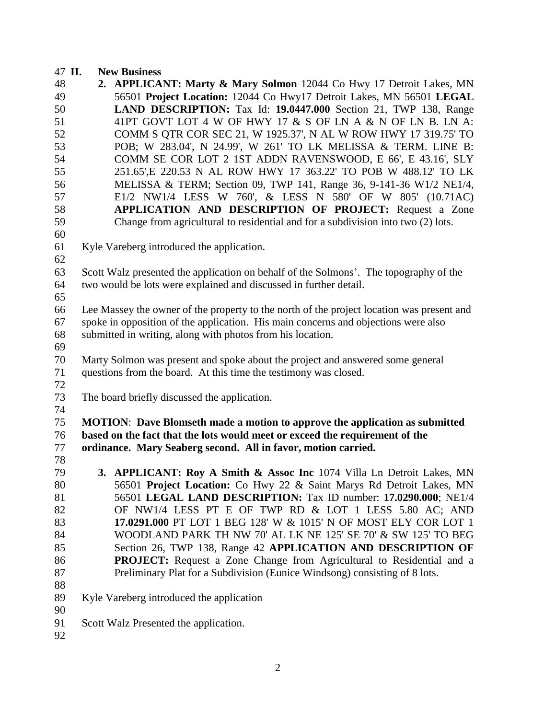| 47 II. | <b>New Business</b>                                                     |
|--------|-------------------------------------------------------------------------|
| 48     | 2. APPLICANT: Marty & Mary Solmon 12044 Co Hwy 17 Detroit Lakes, MN     |
| 49     | 56501 Project Location: 12044 Co Hwy17 Detroit Lakes, MN 56501 LEGAL    |
| 50     | <b>LAND DESCRIPTION:</b> Tax Id: 19.0447.000 Section 21, TWP 138, Range |
| 51     | 41PT GOVT LOT 4 W OF HWY 17 & S OF LN A & N OF LN B. LN A:              |
| 52     | COMM S QTR COR SEC 21, W 1925.37', N AL W ROW HWY 17 319.75' TO         |
| 53     | POB; W 283.04', N 24.99', W 261' TO LK MELISSA & TERM. LINE B:          |
| 54     | COMM SE COR LOT 2 1ST ADDN RAVENSWOOD, E 66', E 43.16', SLY             |

- 251.65',E 220.53 N AL ROW HWY 17 363.22' TO POB W 488.12' TO LK MELISSA & TERM; Section 09, TWP 141, Range 36, 9-141-36 W1/2 NE1/4, E1/2 NW1/4 LESS W 760', & LESS N 580' OF W 805' (10.71AC)
- **APPLICATION AND DESCRIPTION OF PROJECT:** Request a Zone Change from agricultural to residential and for a subdivision into two (2) lots.
- 

Kyle Vareberg introduced the application.

 Scott Walz presented the application on behalf of the Solmons'. The topography of the two would be lots were explained and discussed in further detail.

 Lee Massey the owner of the property to the north of the project location was present and spoke in opposition of the application. His main concerns and objections were also submitted in writing, along with photos from his location.

 Marty Solmon was present and spoke about the project and answered some general questions from the board. At this time the testimony was closed. 

- The board briefly discussed the application.
- 

 **MOTION**: **Dave Blomseth made a motion to approve the application as submitted based on the fact that the lots would meet or exceed the requirement of the ordinance. Mary Seaberg second. All in favor, motion carried.** 

 **3. APPLICANT: Roy A Smith & Assoc Inc** 1074 Villa Ln Detroit Lakes, MN 56501 **Project Location:** Co Hwy 22 & Saint Marys Rd Detroit Lakes, MN 56501 **LEGAL LAND DESCRIPTION:** Tax ID number: **17.0290.000**; NE1/4 OF NW1/4 LESS PT E OF TWP RD & LOT 1 LESS 5.80 AC; AND **17.0291.000** PT LOT 1 BEG 128' W & 1015' N OF MOST ELY COR LOT 1 WOODLAND PARK TH NW 70' AL LK NE 125' SE 70' & SW 125' TO BEG Section 26, TWP 138, Range 42 **APPLICATION AND DESCRIPTION OF PROJECT:** Request a Zone Change from Agricultural to Residential and a Preliminary Plat for a Subdivision (Eunice Windsong) consisting of 8 lots.

- Kyle Vareberg introduced the application
- 
- Scott Walz Presented the application.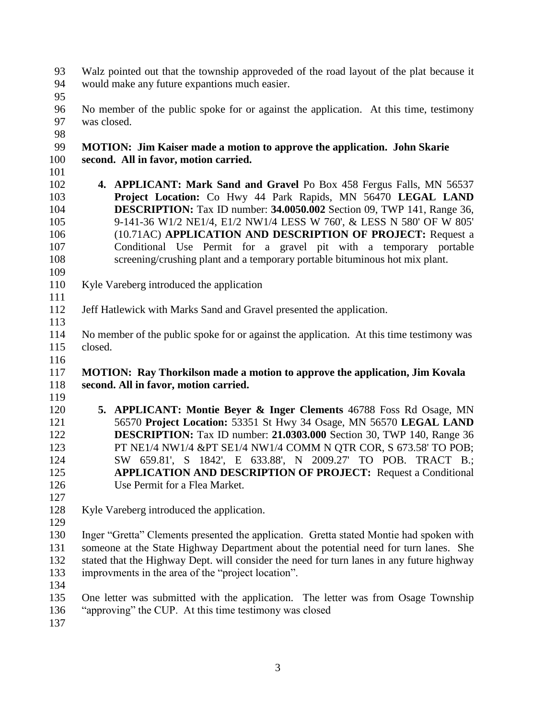Walz pointed out that the township approveded of the road layout of the plat because it would make any future expantions much easier.

 No member of the public spoke for or against the application. At this time, testimony was closed.

## **MOTION: Jim Kaiser made a motion to approve the application. John Skarie second. All in favor, motion carried.**

- 
- **4. APPLICANT: Mark Sand and Gravel** Po Box 458 Fergus Falls, MN 56537 **Project Location:** Co Hwy 44 Park Rapids, MN 56470 **LEGAL LAND DESCRIPTION:** Tax ID number: **34.0050.002** Section 09, TWP 141, Range 36, 9-141-36 W1/2 NE1/4, E1/2 NW1/4 LESS W 760', & LESS N 580' OF W 805' (10.71AC) **APPLICATION AND DESCRIPTION OF PROJECT:** Request a Conditional Use Permit for a gravel pit with a temporary portable screening/crushing plant and a temporary portable bituminous hot mix plant.
- 

- Kyle Vareberg introduced the application
- Jeff Hatlewick with Marks Sand and Gravel presented the application.
- No member of the public spoke for or against the application. At this time testimony was closed.

## **MOTION: Ray Thorkilson made a motion to approve the application, Jim Kovala second. All in favor, motion carried.**

- 
- **5. APPLICANT: Montie Beyer & Inger Clements** 46788 Foss Rd Osage, MN 56570 **Project Location:** 53351 St Hwy 34 Osage, MN 56570 **LEGAL LAND DESCRIPTION:** Tax ID number: **21.0303.000** Section 30, TWP 140, Range 36 PT NE1/4 NW1/4 &PT SE1/4 NW1/4 COMM N QTR COR, S 673.58' TO POB; SW 659.81', S 1842', E 633.88', N 2009.27' TO POB. TRACT B.; **APPLICATION AND DESCRIPTION OF PROJECT:** Request a Conditional Use Permit for a Flea Market.
- 
- Kyle Vareberg introduced the application.
- 

 Inger "Gretta" Clements presented the application. Gretta stated Montie had spoken with someone at the State Highway Department about the potential need for turn lanes. She stated that the Highway Dept. will consider the need for turn lanes in any future highway improvments in the area of the "project location".

 One letter was submitted with the application. The letter was from Osage Township "approving" the CUP. At this time testimony was closed